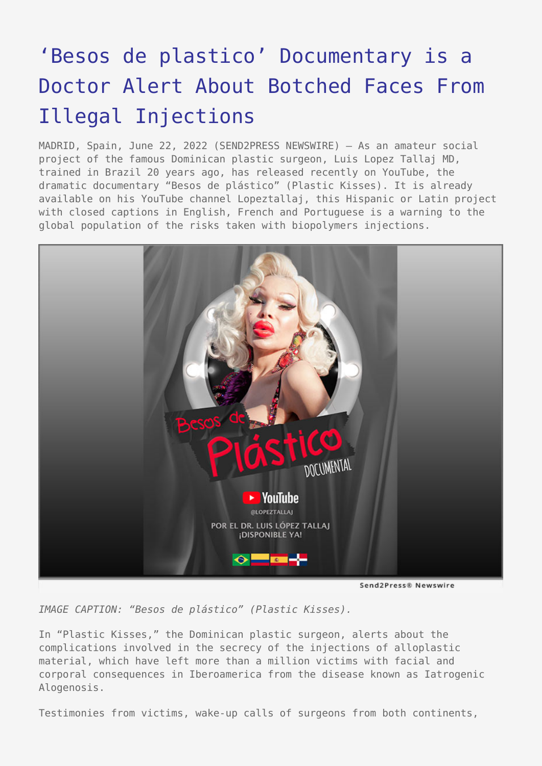## ['Besos de plastico' Documentary is a](https://www.send2press.com/wire/besos-de-plastico-documentary-is-a-doctor-alert-about-botched-faces-from-illegal-injections/) [Doctor Alert About Botched Faces From](https://www.send2press.com/wire/besos-de-plastico-documentary-is-a-doctor-alert-about-botched-faces-from-illegal-injections/) [Illegal Injections](https://www.send2press.com/wire/besos-de-plastico-documentary-is-a-doctor-alert-about-botched-faces-from-illegal-injections/)

MADRID, Spain, June 22, 2022 (SEND2PRESS NEWSWIRE) — As an amateur social project of the famous Dominican plastic surgeon, Luis Lopez Tallaj MD, trained in Brazil 20 years ago, has released recently on YouTube, the dramatic documentary "Besos de plástico" (Plastic Kisses). It is already available on his YouTube channel Lopeztallaj, this Hispanic or Latin project with closed captions in English, French and Portuguese is a warning to the global population of the risks taken with biopolymers injections.



*IMAGE CAPTION: "Besos de plástico" (Plastic Kisses).*

In "Plastic Kisses," the Dominican plastic surgeon, alerts about the complications involved in the secrecy of the injections of alloplastic material, which have left more than a million victims with facial and corporal consequences in Iberoamerica from the disease known as Iatrogenic Alogenosis.

Testimonies from victims, wake-up calls of surgeons from both continents,